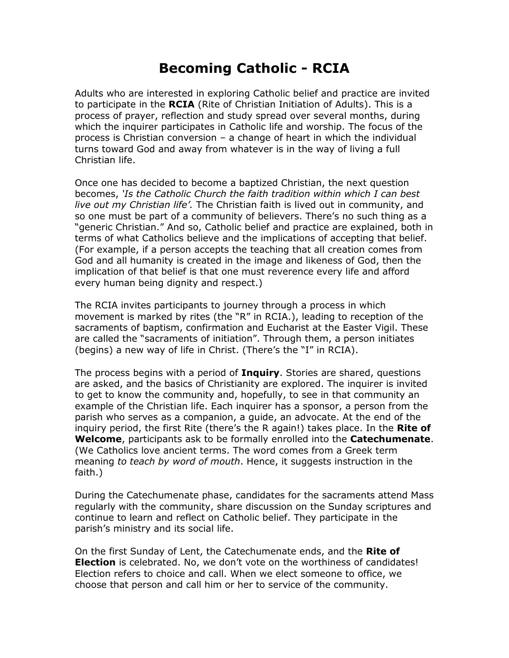## **Becoming Catholic - RCIA**

Adults who are interested in exploring Catholic belief and practice are invited to participate in the **RCIA** (Rite of Christian Initiation of Adults). This is a process of prayer, reflection and study spread over several months, during which the inquirer participates in Catholic life and worship. The focus of the process is Christian conversion – a change of heart in which the individual turns toward God and away from whatever is in the way of living a full Christian life.

Once one has decided to become a baptized Christian, the next question becomes, *'Is the Catholic Church the faith tradition within which I can best live out my Christian life'.* The Christian faith is lived out in community, and so one must be part of a community of believers. There's no such thing as a "generic Christian." And so, Catholic belief and practice are explained, both in terms of what Catholics believe and the implications of accepting that belief. (For example, if a person accepts the teaching that all creation comes from God and all humanity is created in the image and likeness of God, then the implication of that belief is that one must reverence every life and afford every human being dignity and respect.)

The RCIA invites participants to journey through a process in which movement is marked by rites (the "R" in RCIA.), leading to reception of the sacraments of baptism, confirmation and Eucharist at the Easter Vigil. These are called the "sacraments of initiation". Through them, a person initiates (begins) a new way of life in Christ. (There's the "I" in RCIA).

The process begins with a period of **Inquiry**. Stories are shared, questions are asked, and the basics of Christianity are explored. The inquirer is invited to get to know the community and, hopefully, to see in that community an example of the Christian life. Each inquirer has a sponsor, a person from the parish who serves as a companion, a guide, an advocate. At the end of the inquiry period, the first Rite (there's the R again!) takes place. In the **Rite of Welcome**, participants ask to be formally enrolled into the **Catechumenate**. (We Catholics love ancient terms. The word comes from a Greek term meaning *to teach by word of mouth*. Hence, it suggests instruction in the faith.)

During the Catechumenate phase, candidates for the sacraments attend Mass regularly with the community, share discussion on the Sunday scriptures and continue to learn and reflect on Catholic belief. They participate in the parish's ministry and its social life.

On the first Sunday of Lent, the Catechumenate ends, and the **Rite of Election** is celebrated. No, we don't vote on the worthiness of candidates! Election refers to choice and call. When we elect someone to office, we choose that person and call him or her to service of the community.